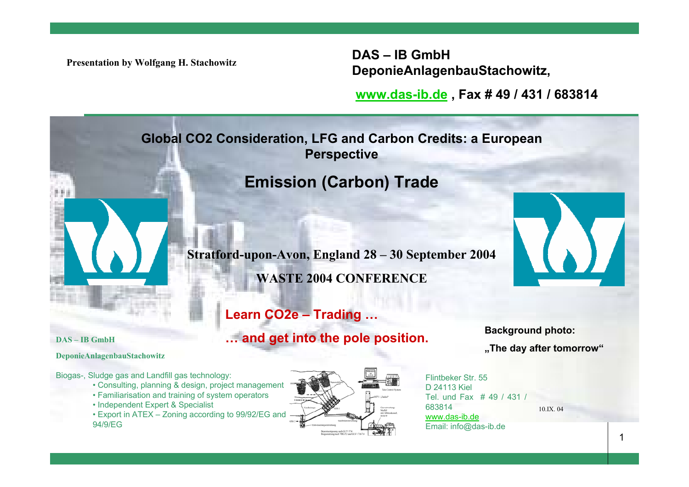**Presentation by Wolfgang H. Stachowitz**

**DAS – IB GmbH DeponieAnlagenbauStachowitz,**

**[www.das-ib.de](http://www.das-ib.de/) , Fax # 49 / 431 / 683814**

**Global CO2 Consideration, LFG and Carbon Credits: a European Perspective**

# **Emission (Carbon) Trade**

**Stratford-upon-Avon, England 28 – 30 September 2004 WASTE 2004 CONFERENCE**

# **Learn CO2e – Trading …**

# **… and get into the pole position.**

**Background photo: "The day after tomorrow"**

10.IX. 04

**S – IB GmbHDA**

**ponieAnlagenbauStachowitz De**

Biogas-, Sludge gas and Landfill gas technology:

- Consulting, planning & design, project management
- Familiarisation and training of system operators
- Independent Expert & Specialist

• Export in ATEX – Zoning according to 99/92/EG and 94/9/EG



Flintbeker Str. 55 D 24113 KielTel. und Fax # 49 / 431 / 683814www.das-ib.deEmail: info@das-ib.de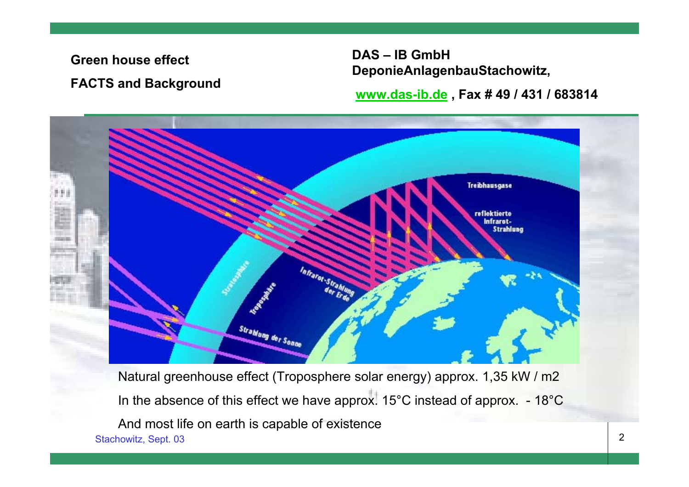**Green house effect**

**FACTS and Background**

**DAS – IB GmbH DeponieAnlagenbauStachowitz,**

**[www.das-ib.de](http://www.das-ib.de/) , Fax # 49 / 431 / 683814**



Natural greenhouse effect (Troposphere solar energy) approx. 1,35 kW / m2 In the absence of this effect we have approx. 15°C instead of approx. - 18°C And most life on earth is capable of existence Stachowitz, Sept. 03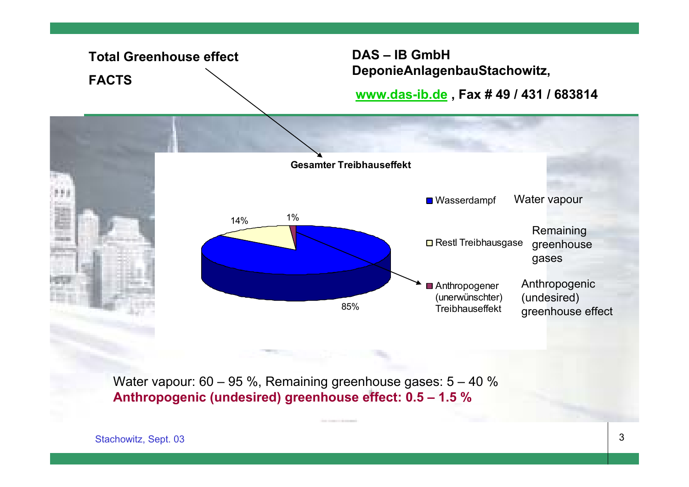

Water vapour: 60 – 95 %, Remaining greenhouse gases: 5 – 40 % **Anthropogenic (undesired) greenhouse effect: 0.5 – 1.5 %**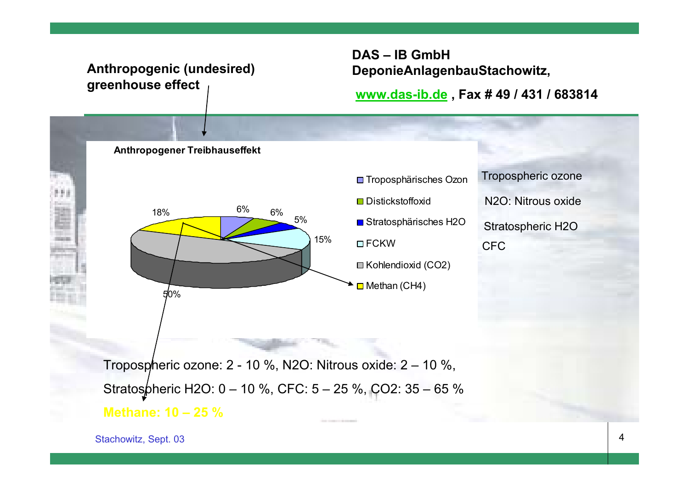# **Anthropogenic (undesired) greenhouse effect**

# **DAS – IB GmbH DeponieAnlagenbauStachowitz,**

### **[www.das-ib.de](http://www.das-ib.de/) , Fax # 49 / 431 / 683814**





Tropospheric ozone N2O: Nitrous oxideStratospheric H2O CFC

Tropospheric ozone: 2 - 10 %, N2O: Nitrous oxide: 2 – 10 %, Stratospheric H2O: 0 – 10 %, CFC: 5 – 25 %, CO2: 35 – 65 % **Methane: 10 – 25 %**

Stachowitz, Sept. 03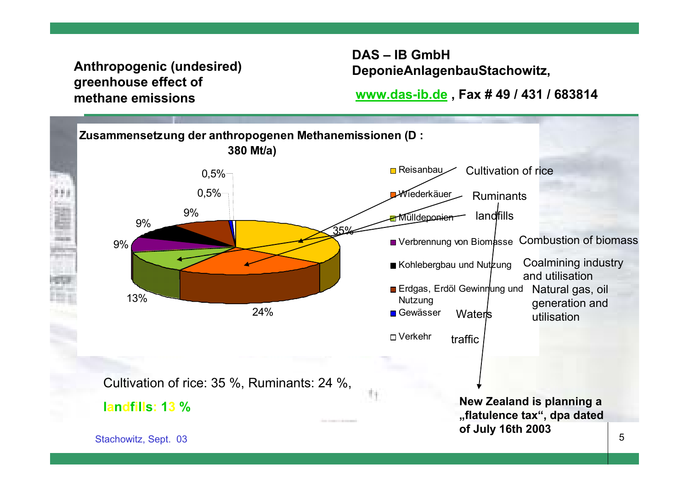# **Anthropogenic (undesired) greenhouse effect of methane emissions**

**DAS – IB GmbH DeponieAnlagenbauStachowitz,**

**[www.das-ib.de](http://www.das-ib.de/) , Fax # 49 / 431 / 683814**

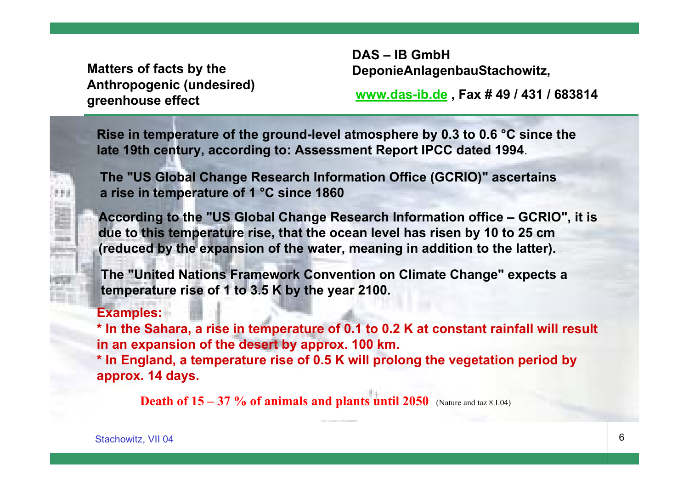**Matters of facts by the Anthropogenic (undesired) greenhouse effect**

**DAS – IB GmbH DeponieAnlagenbauStachowitz,**

**www.das-ib.de , Fax # 49 / 431 / 683814**

**Rise in temperature of the ground-level atmosphere by 0.3 to 0.6 °C since the late 19th century, according to: Assessment Report IPCC dated 1994**.

**The "US Global Change Research Information Office (GCRIO)" ascertains a rise in temperature of 1 °C since 1860**

**According to the "US Global Change Research Information office – GCRIO", it is due to this temperature rise, that the ocean level has risen by 10 to 25 cm (reduced by the expansion of the water, meaning in addition to the latter).**

**The "United Nations Framework Convention on Climate Change" expects a temperature rise of 1 to 3.5 K by the year 2100.**

### **Examples:**

**\* In the Sahara, a rise in temperature of 0.1 to 0.2 K at constant rainfall will result in an expansion of the desert by approx. 100 km. \* In England, a temperature rise of 0.5 K will prolong the vegetation period by approx. 14 days.**

**Death of 15 – 37 % of animals and plants until 2050** (Nature and taz 8.I.04)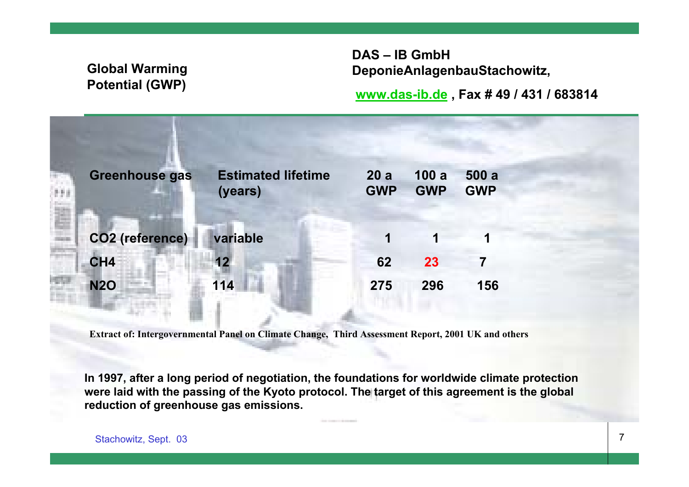# **Global Warming Potential (GWP)**

**DAS – IB GmbH DeponieAnlagenbauStachowitz,**

**[www.das-ib.de](http://www.das-ib.de/) , Fax # 49 / 431 / 683814**

| <b>Greenhouse gas</b>  | <b>Estimated lifetime</b><br>(years) | 20a<br><b>GWP</b> | 100a<br><b>GWP</b> | 500a<br><b>GWP</b> |
|------------------------|--------------------------------------|-------------------|--------------------|--------------------|
| <b>CO2</b> (reference) | variable                             | 1                 | 1                  |                    |
| CH4                    | 12                                   | 62                | 23                 | 7                  |
| <b>N2O</b>             | 114                                  | 275               | 296                | 156                |
|                        |                                      |                   |                    |                    |

**Extract of: Intergovernmental Panel on Climate Change, Third Assessment Report, 2001 UK and others**

**In 1997, after a long period of negotiation, the foundations for worldwide climate protection were laid with the passing of the Kyoto protocol. The target of this agreement is the global reduction of greenhouse gas emissions.**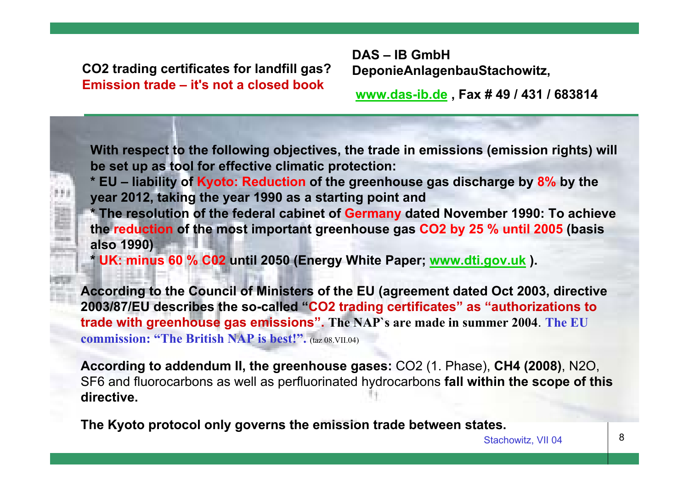**CO2 trading certificates for landfill gas? Emission trade – it's not a closed book**

**DAS – IB GmbH DeponieAnlagenbauStachowitz,**

**www.das-ib.de , Fax # 49 / 431 / 683814**

**With respect to the following objectives, the trade in emissions (emission rights) will be set up as tool for effective climatic protection:**

**\* EU – liability of Kyoto: Reduction of the greenhouse gas discharge by 8% by the year 2012, taking the year 1990 as a starting point and**

**\* The resolution of the federal cabinet of Germany dated November 1990: To achieve the reduction of the most important greenhouse gas CO2 by 25 % until 2005 (basis also 1990)**

**\* UK: minus 60 % C02 until 2050 (Energy White Paper; www.dti.gov.uk ).** 

**According to the Council of Ministers of the EU (agreement dated Oct 2003, directive 2003/87/EU describes the so-called "CO2 trading certificates" as "authorizations to trade with greenhouse gas emissions". The NAP`s are made in summer 2004**. **The EU commission: "The British NAP is best!".** (taz 08.VII.04)

**According to addendum II, the greenhouse gases:** CO2 (1. Phase), **CH4 (2008)**, N2O, SF6 and fluorocarbons as well as perfluorinated hydrocarbons **fall within the scope of this directive.**

**The Kyoto protocol only governs the emission trade between states.**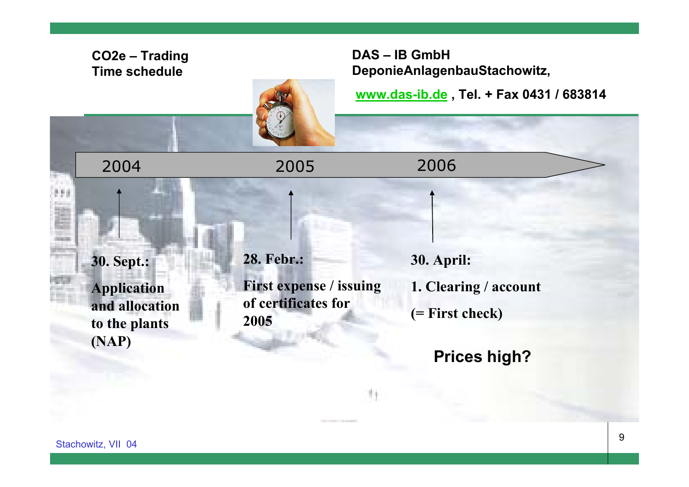## **CO2e – Trading Time schedule**

# **DAS – IB GmbH DeponieAnlagenbauStachowitz,**

**[www.das-ib.de](http://www.das-ib.de/) , Tel. + Fax 0431 / 683814**

2004

**30. Sept.: Application and allocation to the plants (NAP)**

**28. Febr.: First expense / issuing of certificates for 2005**

2005 2006

**30. April:**

**1. Clearing / account**

**(= First check)**

**Prices high?**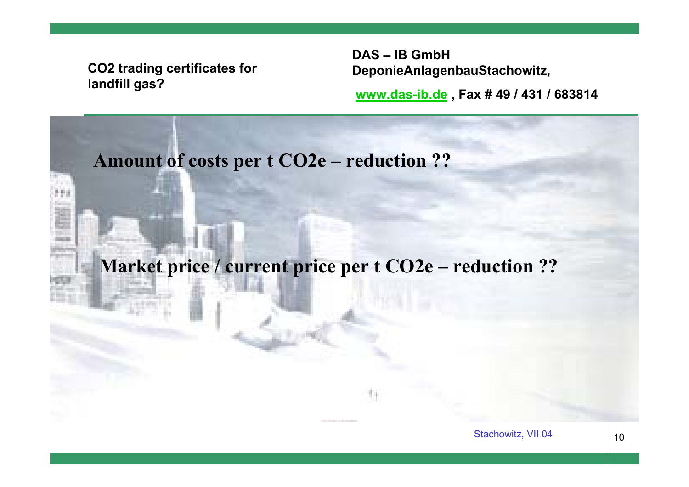# **CO2 trading certificates for landfill gas?**

**DAS – IB GmbH DeponieAnlagenbauStachowitz,**

**[www.das-ib.de](http://www.das-ib.de/) , Fax # 49 / 431 / 683814**

# **Amount of costs per t CO2e – reduction ??**

**Market price / current price per t CO2e – reduction ??**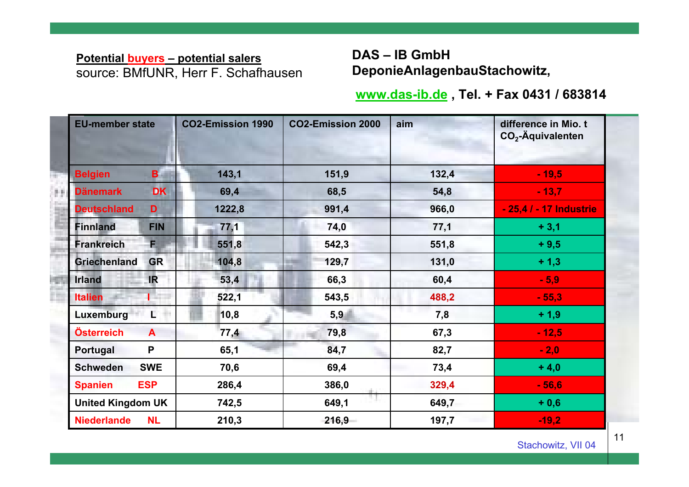### **Potential buyers – potential salers** source: BMfUNR, Herr F. Schafhausen

2000年7月

# **DAS – IB GmbH DeponieAnlagenbauStachowitz,**

### **[www.das-ib.de](http://www.das-ib.de/) , Tel. + Fax 0431 / 683814**

| <b>EU-member state</b>   |              | <b>CO2-Emission 1990</b> | <b>CO2-Emission 2000</b> | aim   | difference in Mio. t<br>$CO2$ -Äquivalenten |  |  |
|--------------------------|--------------|--------------------------|--------------------------|-------|---------------------------------------------|--|--|
| <b>Belgien</b>           | B.           | 143,1                    | 151,9                    | 132,4 | $-19,5$                                     |  |  |
| <b>Dänemark</b>          | <b>DK</b>    | 69,4                     | 68,5                     | 54,8  | $-13,7$                                     |  |  |
| <b>Deutschland</b>       | D            | 1222,8                   | 991,4                    | 966,0 | - 25,4 / - 17 Industrie                     |  |  |
| <b>Finnland</b>          | <b>FIN</b>   | 77,1                     | 74,0                     | 77,1  | $+3,1$                                      |  |  |
| <b>Frankreich</b>        | F.           | 551,8                    | 542,3                    | 551,8 | $+9,5$                                      |  |  |
| <b>Griechenland</b>      | <b>GR</b>    | 104,8                    | 129,7                    | 131,0 | $+1,3$                                      |  |  |
| <b>Irland</b>            | <b>IR</b>    | 53,4                     | 66,3                     | 60,4  | $-5,9$                                      |  |  |
| <b>Italien</b>           | T T          | 522,1                    | 543,5                    | 488,2 | $-55,3$                                     |  |  |
| Luxemburg                | L.           | 10,8                     | 5,9                      | 7,8   | $+1,9$                                      |  |  |
| Österreich               | $\mathbf{A}$ | 77,4                     | 79,8                     | 67,3  | $-12,5$                                     |  |  |
| Portugal                 | P            | 65,1                     | 84,7                     | 82,7  | $-2,0$                                      |  |  |
| <b>Schweden</b>          | <b>SWE</b>   | 70,6                     | 69,4                     | 73,4  | $+4,0$                                      |  |  |
| <b>Spanien</b>           | <b>ESP</b>   | 286,4                    | 386,0                    | 329,4 | $-56,6$                                     |  |  |
| <b>United Kingdom UK</b> |              | 742,5                    | 649,1                    | 649,7 | $+0,6$                                      |  |  |
| <b>Niederlande</b>       | <b>NL</b>    | 210,3                    | 216,9                    | 197,7 | $-19,2$                                     |  |  |

11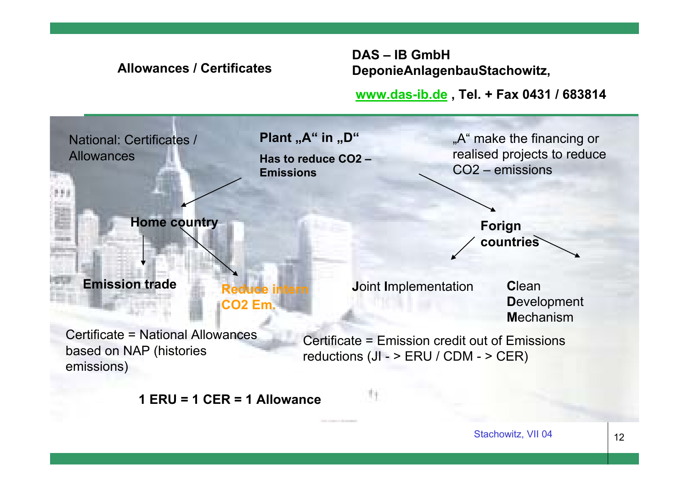

**DAS – IB GmbH** 

**1 ERU = 1 CER = 1 Allowance**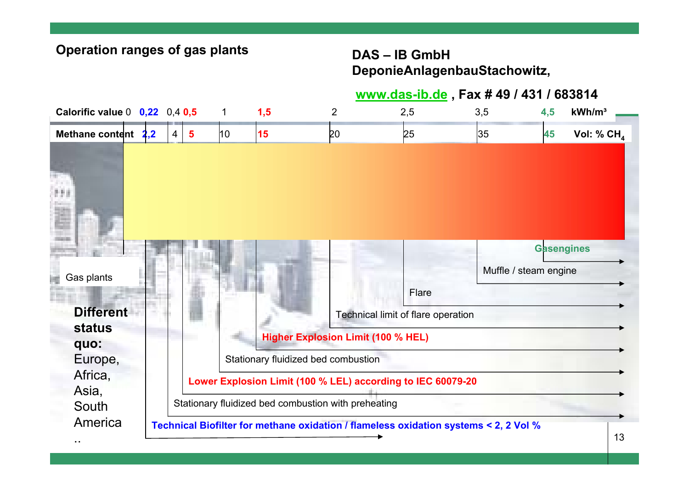# **DAS – IB GmbH DeponieAnlagenbauStachowitz,**

# **www.das-ib.de , Fax # 49 / 431 / 683814**

| Calorific value $0$ 0,22 0,4 0,5                                         |                                                                                                                                                                                                                                                                                                |                         | 1            | 1,5 | $\overline{2}$ | 2,5                                         | 3,5                   | 4,5               | kWh/m <sup>3</sup> |
|--------------------------------------------------------------------------|------------------------------------------------------------------------------------------------------------------------------------------------------------------------------------------------------------------------------------------------------------------------------------------------|-------------------------|--------------|-----|----------------|---------------------------------------------|-----------------------|-------------------|--------------------|
| Methane content 2,2                                                      | $\overline{4}$                                                                                                                                                                                                                                                                                 | $\overline{\mathbf{5}}$ | $ 10\rangle$ | 15  | <b>20</b>      | 25                                          | 35                    | 45                | Vol: % $CH4$       |
|                                                                          |                                                                                                                                                                                                                                                                                                |                         |              |     |                |                                             |                       |                   |                    |
| Gas plants<br><b>Different</b>                                           |                                                                                                                                                                                                                                                                                                |                         |              |     |                | Flare<br>Technical limit of flare operation | Muffle / steam engine | <b>Gasengines</b> |                    |
| <b>status</b><br>quo:<br>Europe,<br>Africa,<br>Asia,<br>South<br>America | <b>Higher Explosion Limit (100 % HEL)</b><br>Stationary fluidized bed combustion<br>Lower Explosion Limit (100 % LEL) according to IEC 60079-20<br>Stationary fluidized bed combustion with preheating<br>Technical Biofilter for methane oxidation / flameless oxidation systems < 2, 2 Vol % |                         |              |     |                |                                             |                       |                   |                    |
|                                                                          |                                                                                                                                                                                                                                                                                                |                         |              |     |                |                                             |                       |                   | 13                 |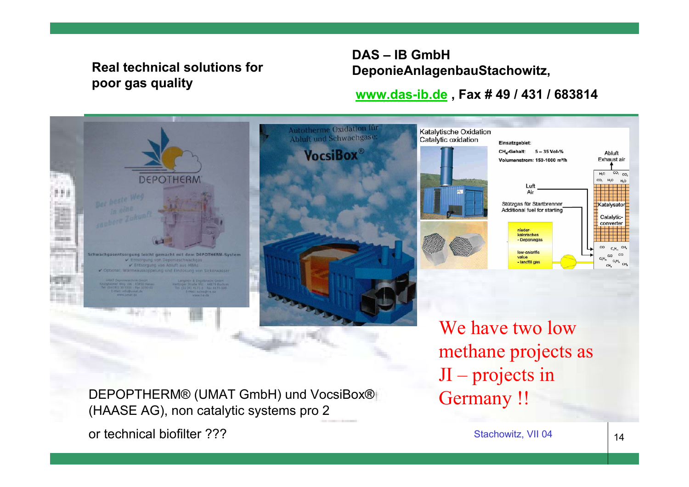# **Real technical solutions for poor gas quality**

# **DAS – IB GmbH DeponieAnlagenbauStachowitz,**

## **[www.das-ib.de](http://www.das-ib.de/) , Fax # 49 / 431 / 683814**



DEPOPTHERM® (UMAT GmbH) und VocsiBox® **(Germany !!**<br>(HAASE AG), non catalytic systems pro 2

or technical biofilter ???

Stachowitz, VII 04

JI – projects in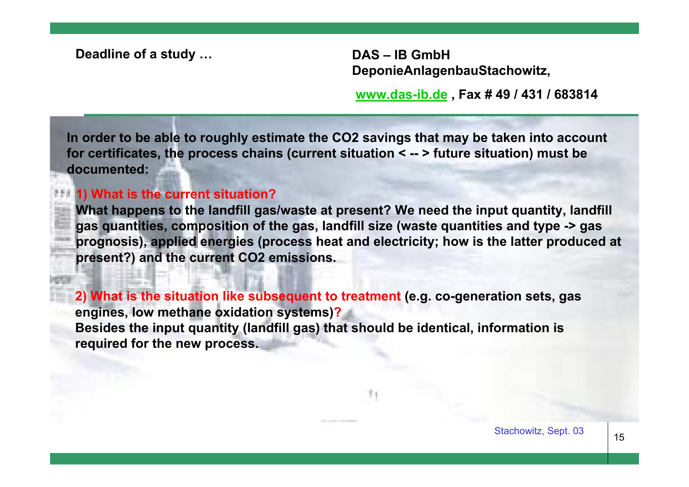**Deadline of a study … DAS – IB GmbH** 

**DeponieAnlagenbauStachowitz,**

**[www.das-ib.de](http://www.das-ib.de/) , Fax # 49 / 431 / 683814**

**In order to be able to roughly estimate the CO2 savings that may be taken into account for certificates, the process chains (current situation < -- > future situation) must be documented:**

#### **1) What is the current situation?**

**What happens to the landfill gas/waste at present? We need the input quantity, landfill gas quantities, composition of the gas, landfill size (waste quantities and type -> gas prognosis), applied energies (process heat and electricity; how is the latter produced at present?) and the current CO2 emissions.**

**2) What is the situation like subsequent to treatment (e.g. co-generation sets, gas engines, low methane oxidation systems)? Besides the input quantity (landfill gas) that should be identical, information is required for the new process.**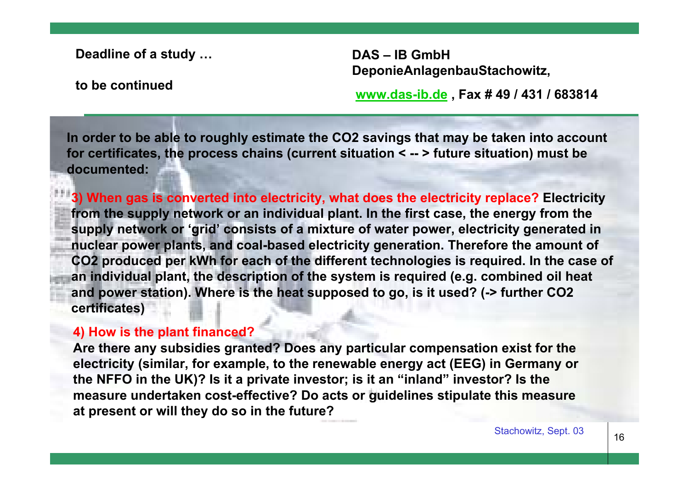**Deadline of a study …**

**DAS – IB GmbH DeponieAnlagenbauStachowitz,**

**to be continued**

**[www.das-ib.de](http://www.das-ib.de/) , Fax # 49 / 431 / 683814**

**In order to be able to roughly estimate the CO2 savings that may be taken into account for certificates, the process chains (current situation < -- > future situation) must be documented:**

**3) When gas is converted into electricity, what does the electricity replace? Electricity from the supply network or an individual plant. In the first case, the energy from the supply network or 'grid' consists of a mixture of water power, electricity generated in nuclear power plants, and coal-based electricity generation. Therefore the amount of CO2 produced per kWh for each of the different technologies is required. In the case of an individual plant, the description of the system is required (e.g. combined oil heat and power station). Where is the heat supposed to go, is it used? (-> further CO2 certificates)**

#### **4) How is the plant financed?**

**Are there any subsidies granted? Does any particular compensation exist for the electricity (similar, for example, to the renewable energy act (EEG) in Germany or the NFFO in the UK)? Is it a private investor; is it an "inland" investor? Is the measure undertaken cost-effective? Do acts or guidelines stipulate this measure at present or will they do so in the future?**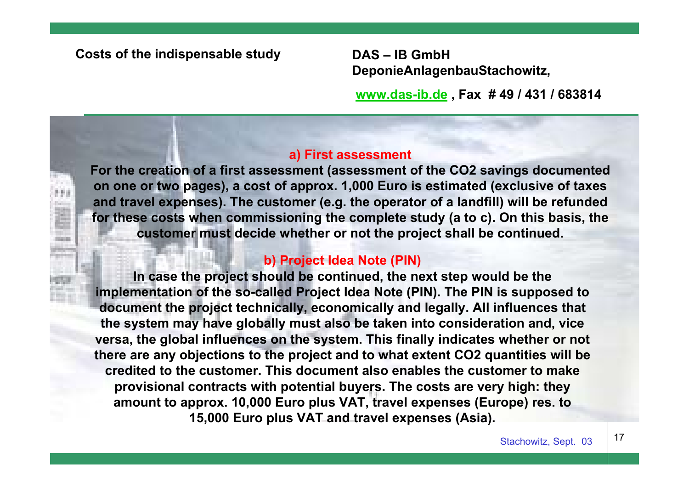#### **Costs of the indispensable study DAS – IB GmbH**

**DeponieAnlagenbauStachowitz,**

**[www.das-ib.de](http://www.das-ib.de/) , Fax # 49 / 431 / 683814**

#### **a) First assessment**

**For the creation of a first assessment (assessment of the CO2 savings documented on one or two pages), a cost of approx. 1,000 Euro is estimated (exclusive of taxes and travel expenses). The customer (e.g. the operator of a landfill) will be refunded for these costs when commissioning the complete study (a to c). On this basis, the customer must decide whether or not the project shall be continued.**

#### **b) Project Idea Note (PIN)**

**In case the project should be continued, the next step would be the implementation of the so-called Project Idea Note (PIN). The PIN is supposed to document the project technically, economically and legally. All influences that the system may have globally must also be taken into consideration and, vice versa, the global influences on the system. This finally indicates whether or not there are any objections to the project and to what extent CO2 quantities will be credited to the customer. This document also enables the customer to make provisional contracts with potential buyers. The costs are very high: they amount to approx. 10,000 Euro plus VAT, travel expenses (Europe) res. to 15,000 Euro plus VAT and travel expenses (Asia).**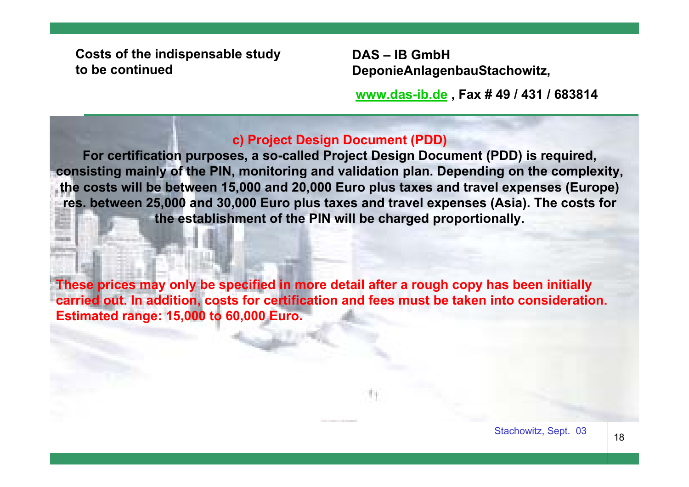**Costs of the indispensable study to be continued**

**DAS – IB GmbH DeponieAnlagenbauStachowitz,**

**[www.das-ib.de](http://www.das-ib.de/) , Fax # 49 / 431 / 683814**

### **c) Project Design Document (PDD)**

**For certification purposes, a so-called Project Design Document (PDD) is required, consisting mainly of the PIN, monitoring and validation plan. Depending on the complexity, the costs will be between 15,000 and 20,000 Euro plus taxes and travel expenses (Europe) res. between 25,000 and 30,000 Euro plus taxes and travel expenses (Asia). The costs for the establishment of the PIN will be charged proportionally.**

**These prices may only be specified in more detail after a rough copy has been initially carried out. In addition, costs for certification and fees must be taken into consideration. Estimated range: 15,000 to 60,000 Euro.**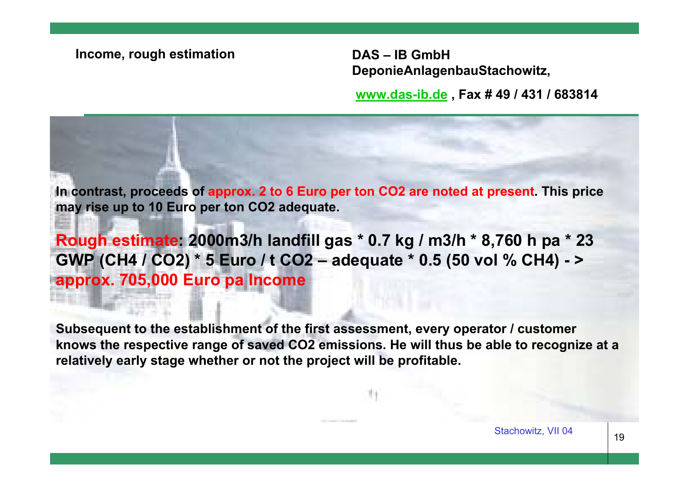#### **Income, rough estimation DAS – IB GmbH**

**DeponieAnlagenbauStachowitz,**

**[www.das-ib.de](http://www.das-ib.de/) , Fax # 49 / 431 / 683814**

**In contrast, proceeds of approx. 2 to 6 Euro per ton CO2 are noted at present. This price may rise up to 10 Euro per ton CO2 adequate.** 

**Rough estimate: 2000m3/h landfill gas \* 0.7 kg / m3/h \* 8,760 h pa \* 23 GWP (CH4 / CO2) \* 5 Euro / t CO2 – adequate \* 0.5 (50 vol % CH4) - <sup>&</sup>gt; approx. 705,000 Euro pa Income**

**Subsequent to the establishment of the first assessment, every operator / customer knows the respective range of saved CO2 emissions. He will thus be able to recognize at a relatively early stage whether or not the project will be profitable.**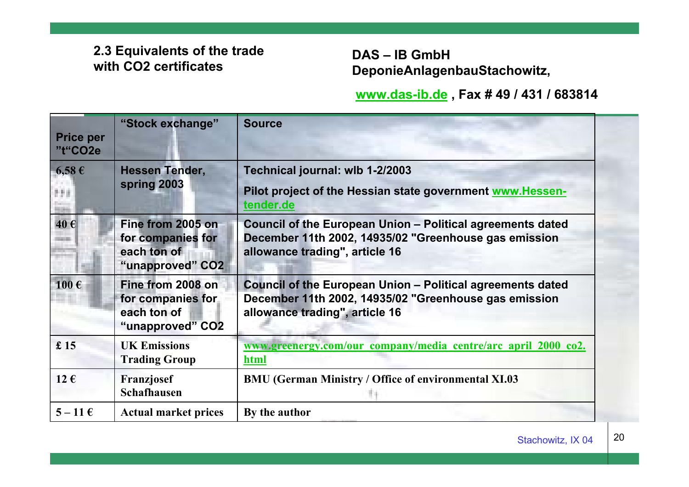# **2.3 Equivalents of the trade with CO2 certificates**

**DAS – IB GmbH DeponieAnlagenbauStachowitz,**

### **[www.das-ib.de](http://www.das-ib.de/) , Fax # 49 / 431 / 683814**

| <b>Price per</b><br>"t"CO2e | "Stock exchange"                                                          | <b>Source</b>                                                                                                                                                |
|-----------------------------|---------------------------------------------------------------------------|--------------------------------------------------------------------------------------------------------------------------------------------------------------|
| $6,58 \in$<br>899           | <b>Hessen Tender,</b><br>spring 2003                                      | Technical journal: wlb 1-2/2003<br>Pilot project of the Hessian state government www.Hessen-<br>tender.de                                                    |
| 40€                         | Fine from 2005 on<br>for companies for<br>each ton of<br>"unapproved" CO2 | Council of the European Union - Political agreements dated<br>December 11th 2002, 14935/02 "Greenhouse gas emission<br>allowance trading", article 16        |
| $100 \text{ } \in$          | Fine from 2008 on<br>for companies for<br>each ton of<br>"unapproved" CO2 | <b>Council of the European Union - Political agreements dated</b><br>December 11th 2002, 14935/02 "Greenhouse gas emission<br>allowance trading", article 16 |
| £15                         | <b>UK Emissions</b><br><b>Trading Group</b>                               | www.greenergy.com/our company/media centre/arc april 2000 co2.<br>html                                                                                       |
| $12 \in$                    | Franzjosef<br><b>Schafhausen</b>                                          | <b>BMU (German Ministry / Office of environmental XI.03</b>                                                                                                  |
| $5-11 \in$                  | <b>Actual market prices</b>                                               | By the author                                                                                                                                                |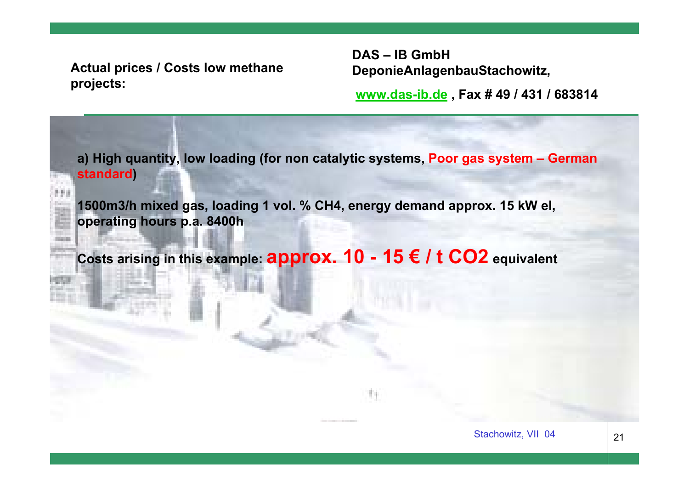**Actual prices / Costs low methane projects:**

**DAS – IB GmbH DeponieAnlagenbauStachowitz,**

**[www.das-ib.de](http://www.das-ib.de/) , Fax # 49 / 431 / 683814**

**a) High quantity, low loading (for non catalytic systems, Poor gas system – German standard)**

**1500m3/h mixed gas, loading 1 vol. % CH4, energy demand approx. 15 kW el, operating hours p.a. 8400h**

**Costs arising in this example: approx. 10 - 15 € / t CO2 equivalent**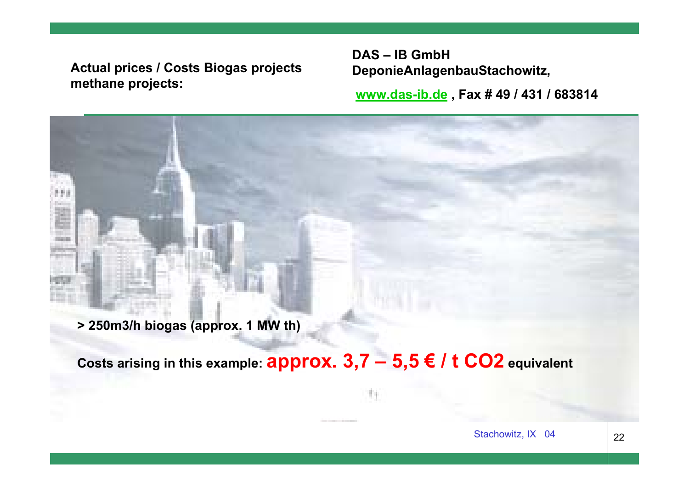**Actual prices / Costs Biogas projects methane projects:**

**DAS – IB GmbH DeponieAnlagenbauStachowitz,**

**[www.das-ib.de](http://www.das-ib.de/) , Fax # 49 / 431 / 683814**

**> 250m3/h biogas (approx. 1 MW th)**

**Costs arising in this example: approx. 3,7 – 5,5 € / t CO2 equivalent**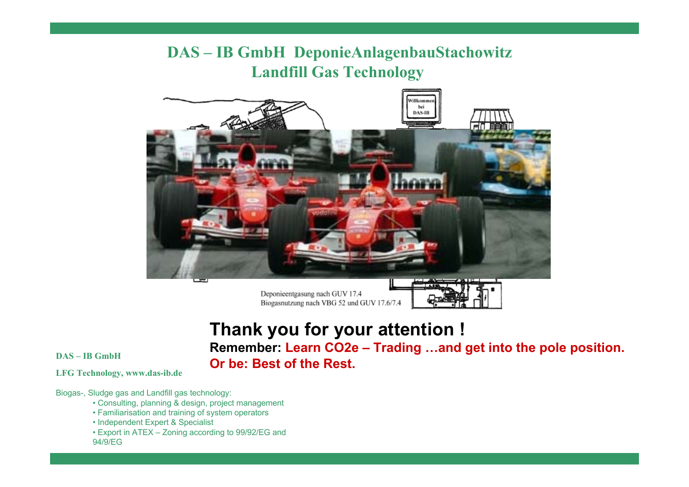# **DAS – IB GmbH DeponieAnlagenbauStachowitz Landfill Gas Technology**



Deponieentgasung nach GUV 17.4 Biogasnutzung nach VBG 52 und GUV 17.6/7.4

# **Thank you for your attention ! Remember: Learn CO2e – Trading …and get into the pole position.**   $\Delta$ B GmbH **Or be: Best of the Rest.**

**LFG Technology, www.das-ib.de**

Biogas-, Sludge gas and Landfill gas technology:

- Consulting, planning & design, project management
- Familiarisation and training of system operators
- Independent Expert & Specialist
- Export in ATEX Zoning according to 99/92/EG and 94/9/EG